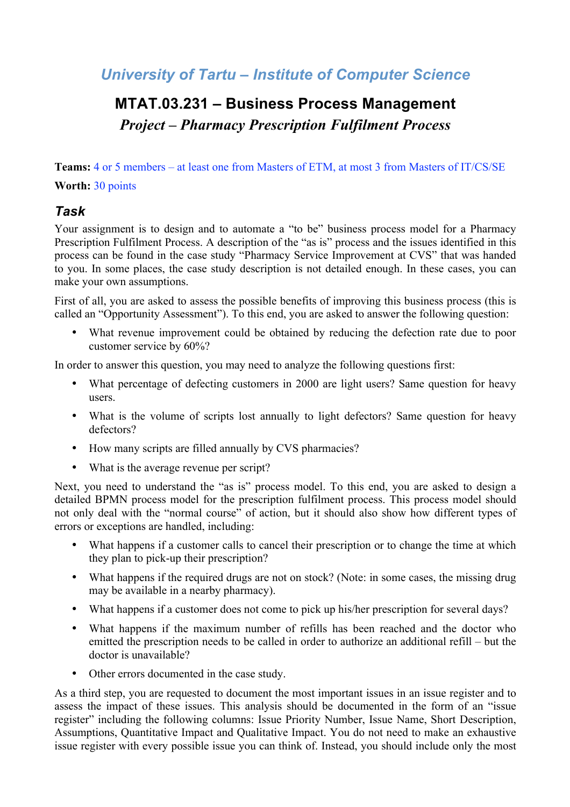#### *University of Tartu – Institute of Computer Science*

# **MTAT.03.231 – Business Process Management** *Project – Pharmacy Prescription Fulfilment Process*

**Teams:** 4 or 5 members – at least one from Masters of ETM, at most 3 from Masters of IT/CS/SE **Worth:** 30 points

#### *Task*

Your assignment is to design and to automate a "to be" business process model for a Pharmacy Prescription Fulfilment Process. A description of the "as is" process and the issues identified in this process can be found in the case study "Pharmacy Service Improvement at CVS" that was handed to you. In some places, the case study description is not detailed enough. In these cases, you can make your own assumptions.

First of all, you are asked to assess the possible benefits of improving this business process (this is called an "Opportunity Assessment"). To this end, you are asked to answer the following question:

• What revenue improvement could be obtained by reducing the defection rate due to poor customer service by 60%?

In order to answer this question, you may need to analyze the following questions first:

- What percentage of defecting customers in 2000 are light users? Same question for heavy users.
- What is the volume of scripts lost annually to light defectors? Same question for heavy defectors?
- How many scripts are filled annually by CVS pharmacies?
- What is the average revenue per script?

Next, you need to understand the "as is" process model. To this end, you are asked to design a detailed BPMN process model for the prescription fulfilment process. This process model should not only deal with the "normal course" of action, but it should also show how different types of errors or exceptions are handled, including:

- What happens if a customer calls to cancel their prescription or to change the time at which they plan to pick-up their prescription?
- What happens if the required drugs are not on stock? (Note: in some cases, the missing drug may be available in a nearby pharmacy).
- What happens if a customer does not come to pick up his/her prescription for several days?
- What happens if the maximum number of refills has been reached and the doctor who emitted the prescription needs to be called in order to authorize an additional refill – but the doctor is unavailable?
- Other errors documented in the case study.

As a third step, you are requested to document the most important issues in an issue register and to assess the impact of these issues. This analysis should be documented in the form of an "issue register" including the following columns: Issue Priority Number, Issue Name, Short Description, Assumptions, Quantitative Impact and Qualitative Impact. You do not need to make an exhaustive issue register with every possible issue you can think of. Instead, you should include only the most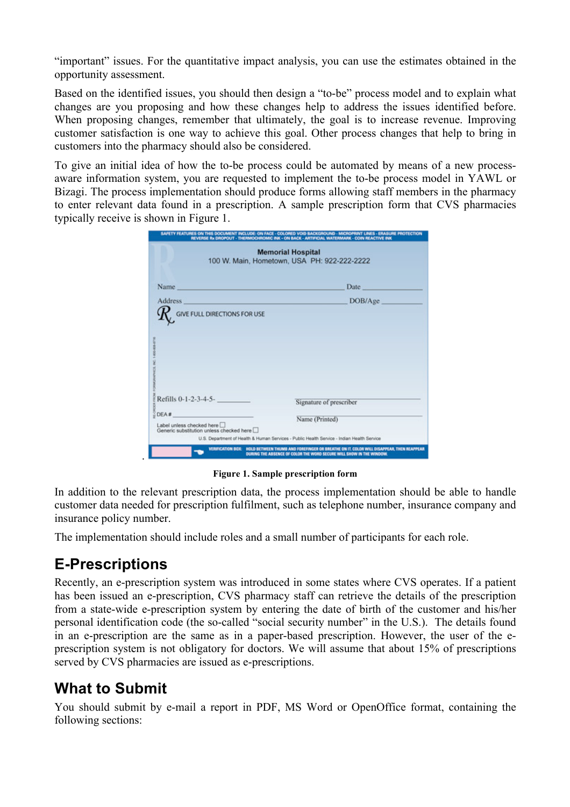"important" issues. For the quantitative impact analysis, you can use the estimates obtained in the opportunity assessment.

Based on the identified issues, you should then design a "to-be" process model and to explain what changes are you proposing and how these changes help to address the issues identified before. When proposing changes, remember that ultimately, the goal is to increase revenue. Improving customer satisfaction is one way to achieve this goal. Other process changes that help to bring in customers into the pharmacy should also be considered.

To give an initial idea of how the to-be process could be automated by means of a new processaware information system, you are requested to implement the to-be process model in YAWL or Bizagi. The process implementation should produce forms allowing staff members in the pharmacy to enter relevant data found in a prescription. A sample prescription form that CVS pharmacies typically receive is shown in Figure 1.

| SAFETY FEATURES ON THIS DOCUMENT INCLUDE: ON FACE - COLORED VOID BACKGROUND - MICROPRINT UNES - ERASURE PROTECTION<br>REVERSE Rx DROPOUT - THERMOCHROMIC INK - ON BACK - ARTIFICIAL WATERMARK - COIN REACTIVE INK |                                                                                                              |
|-------------------------------------------------------------------------------------------------------------------------------------------------------------------------------------------------------------------|--------------------------------------------------------------------------------------------------------------|
| <b>Memorial Hospital</b><br>100 W. Main, Hometown, USA PH: 922-222-2222                                                                                                                                           |                                                                                                              |
| Name                                                                                                                                                                                                              | Date                                                                                                         |
| <b>Address</b>                                                                                                                                                                                                    | DOB/Age                                                                                                      |
| <b>GIVE FULL DIRECTIONS FOR USE</b>                                                                                                                                                                               |                                                                                                              |
| Refills 0-1-2-3-4-5-                                                                                                                                                                                              | Signature of prescriber                                                                                      |
| DEA#<br>Label unless checked here<br>Generic substitution unless checked here                                                                                                                                     | Name (Printed)<br>U.S. Department of Health & Human Services - Public Health Service - Indian Health Service |
| <b>VERFICATION BOX:</b><br>HOLD BETWEEN THUMB AND FOREFINGER OR BREATHE ON IT, COLOR WILL DISAPPEAR, THEN REAPPEAR<br>DURING THE ABSENCE OF COLOR THE WORD SECURE WILL SHOW IN THE WINDOW.                        |                                                                                                              |

**Figure 1. Sample prescription form**

In addition to the relevant prescription data, the process implementation should be able to handle customer data needed for prescription fulfilment, such as telephone number, insurance company and insurance policy number.

The implementation should include roles and a small number of participants for each role.

## **E-Prescriptions**

.

Recently, an e-prescription system was introduced in some states where CVS operates. If a patient has been issued an e-prescription, CVS pharmacy staff can retrieve the details of the prescription from a state-wide e-prescription system by entering the date of birth of the customer and his/her personal identification code (the so-called "social security number" in the U.S.). The details found in an e-prescription are the same as in a paper-based prescription. However, the user of the eprescription system is not obligatory for doctors. We will assume that about 15% of prescriptions served by CVS pharmacies are issued as e-prescriptions.

## **What to Submit**

You should submit by e-mail a report in PDF, MS Word or OpenOffice format, containing the following sections: